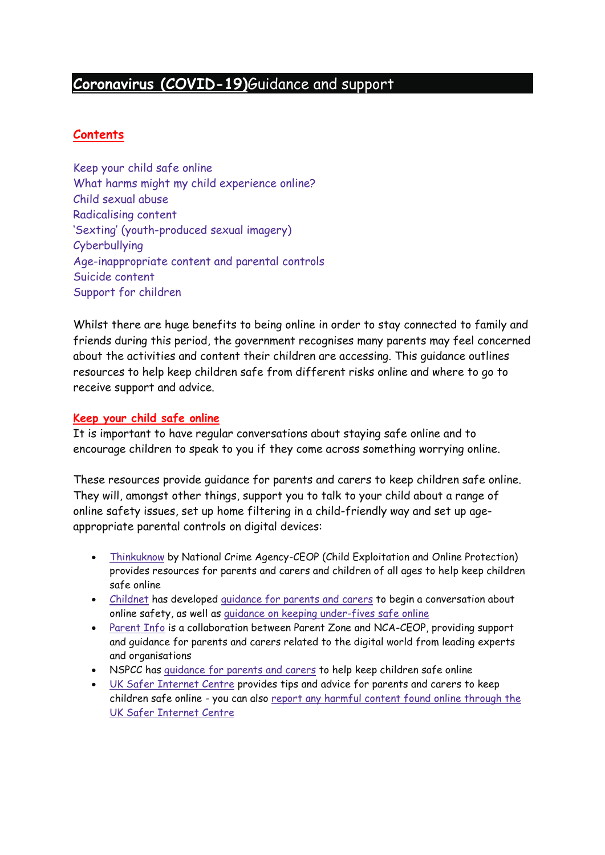# **Coronavirus [\(COVID-19\)](https://www.gov.uk/coronavirus)**Guidance and support

# **Contents**

Keep your child safe [online](https://www.gov.uk/government/publications/coronavirus-covid-19-keeping-children-safe-online/coronavirus-covid-19-support-for-parents-and-carers-to-keep-children-safe-online#keep-your-child-safe-online) What harms might my child [experience](https://www.gov.uk/government/publications/coronavirus-covid-19-keeping-children-safe-online/coronavirus-covid-19-support-for-parents-and-carers-to-keep-children-safe-online#what-harms-might-my-child-experience-online) online? Child [sexual](https://www.gov.uk/government/publications/coronavirus-covid-19-keeping-children-safe-online/coronavirus-covid-19-support-for-parents-and-carers-to-keep-children-safe-online#child-sexual-abuse) abuse [Radicalising](https://www.gov.uk/government/publications/coronavirus-covid-19-keeping-children-safe-online/coronavirus-covid-19-support-for-parents-and-carers-to-keep-children-safe-online#radicalising-content) content 'Sexting' [\(youth-produced](https://www.gov.uk/government/publications/coronavirus-covid-19-keeping-children-safe-online/coronavirus-covid-19-support-for-parents-and-carers-to-keep-children-safe-online#sexting-youth-produced-sexual-imagery) sexual imagery) [Cyberbullying](https://www.gov.uk/government/publications/coronavirus-covid-19-keeping-children-safe-online/coronavirus-covid-19-support-for-parents-and-carers-to-keep-children-safe-online#cyberbullying) [Age-inappropriate](https://www.gov.uk/government/publications/coronavirus-covid-19-keeping-children-safe-online/coronavirus-covid-19-support-for-parents-and-carers-to-keep-children-safe-online#age-inappropriate-content-and-parental-controls) content and parental controls Suicide [content](https://www.gov.uk/government/publications/coronavirus-covid-19-keeping-children-safe-online/coronavirus-covid-19-support-for-parents-and-carers-to-keep-children-safe-online#suicide-content) Support for [children](https://www.gov.uk/government/publications/coronavirus-covid-19-keeping-children-safe-online/coronavirus-covid-19-support-for-parents-and-carers-to-keep-children-safe-online#support-for-children)

Whilst there are huge benefits to being online in order to stay connected to family and friends during this period, the government recognises many parents may feel concerned about the activities and content their children are accessing. This guidance outlines resources to help keep children safe from different risks online and where to go to receive support and advice.

## **Keep your child safe online**

It is important to have regular conversations about staying safe online and to encourage children to speak to you if they come across something worrying online.

These resources provide guidance for parents and carers to keep children safe online. They will, amongst other things, support you to talk to your child about a range of online safety issues, set up home filtering in a child-friendly way and set up ageappropriate parental controls on digital devices:

- [Thinkuknow](https://www.thinkuknow.co.uk/) by National Crime Agency-CEOP (Child Exploitation and Online Protection) provides resources for parents and carers and children of all ages to help keep children safe online
- [Childnet](https://www.childnet.com/) has developed [guidance](https://www.childnet.com/parents-and-carers/have-a-conversation) for parents and carers to begin a conversation about online safety, as well as guidance on keeping [under-fives](https://www.childnet.com/parents-and-carers/hot-topics/keeping-young-children-safe-online) safe online
- [Parent](https://parentinfo.org/) Info is a collaboration between Parent Zone and NCA-CEOP, providing support and guidance for parents and carers related to the digital world from leading experts and organisations
- NSPCC has [guidance](https://www.nspcc.org.uk/keeping-children-safe/online-safety) for parents and carers to help keep children safe online
- UK Safer [Internet](https://www.saferinternet.org.uk/advice-centre/parents-and-carers) Centre provides tips and advice for parents and carers to keep children safe online - you can also report any harmful content found online [through](https://reportharmfulcontent.com/) the UK Safer [Internet](https://reportharmfulcontent.com/) Centre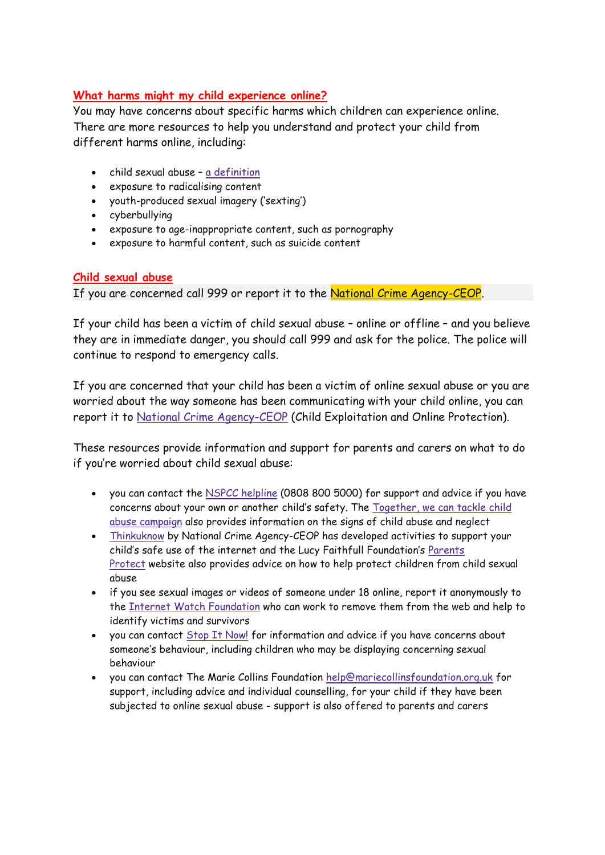## **What harms might my child experience online?**

You may have concerns about specific harms which children can experience online. There are more resources to help you understand and protect your child from different harms online, including:

- child sexual abuse a [definition](https://assets.publishing.service.gov.uk/government/uploads/system/uploads/attachment_data/file/779401/Working_Together_to_Safeguard-Children.pdf#page=103)
- exposure to radicalising content
- youth-produced sexual imagery ('sexting')
- cyberbullying
- exposure to age-inappropriate content, such as pornography
- exposure to harmful content, such as suicide content

#### **Child sexual abuse**

If you are concerned call 999 or report it to the National Crime [Agency-CEOP.](https://www.ceop.police.uk/ceop-reporting/)

If your child has been a victim of child sexual abuse – online or offline – and you believe they are in immediate danger, you should call 999 and ask for the police. The police will continue to respond to emergency calls.

If you are concerned that your child has been a victim of online sexual abuse or you are worried about the way someone has been communicating with your child online, you can report it to National Crime [Agency-CEOP](https://www.ceop.police.uk/ceop-reporting/) (Child Exploitation and Online Protection).

These resources provide information and support for parents and carers on what to do if you're worried about child sexual abuse:

- you can contact the NSPCC [helpline](https://www.nspcc.org.uk/keeping-children-safe/our-services/nspcc-helpline/) (0808 800 5000) for support and advice if you have concerns about your own or another child's safety. The [Together,](https://tacklechildabuse.campaign.gov.uk/) we can tackle child abuse [campaign](https://tacklechildabuse.campaign.gov.uk/) also provides information on the signs of child abuse and neglect
- [Thinkuknow](https://www.thinkuknow.co.uk/parents/Support-tools/home-activity-worksheets/) by National Crime Agency-CEOP has developed activities to support your child's safe use of the internet and the Lucy Faithfull Foundation's [Parents](https://www.parentsprotect.co.uk/) [Protect](https://www.parentsprotect.co.uk/) website also provides advice on how to help protect children from child sexual abuse
- if you see sexual images or videos of someone under 18 online, report it anonymously to the Internet Watch [Foundation](https://report.iwf.org.uk/en) who can work to remove them from the web and help to identify victims and survivors
- you can contact *Stop It [Now!](https://www.stopitnow.org.uk/)* for information and advice if you have concerns about someone's behaviour, including children who may be displaying concerning sexual behaviour
- you can contact The Marie Collins Foundation [help@mariecollinsfoundation.org.uk](mailto:help@mariecollinsfoundation.org.uk) for support, including advice and individual counselling, for your child if they have been subjected to online sexual abuse - support is also offered to parents and carers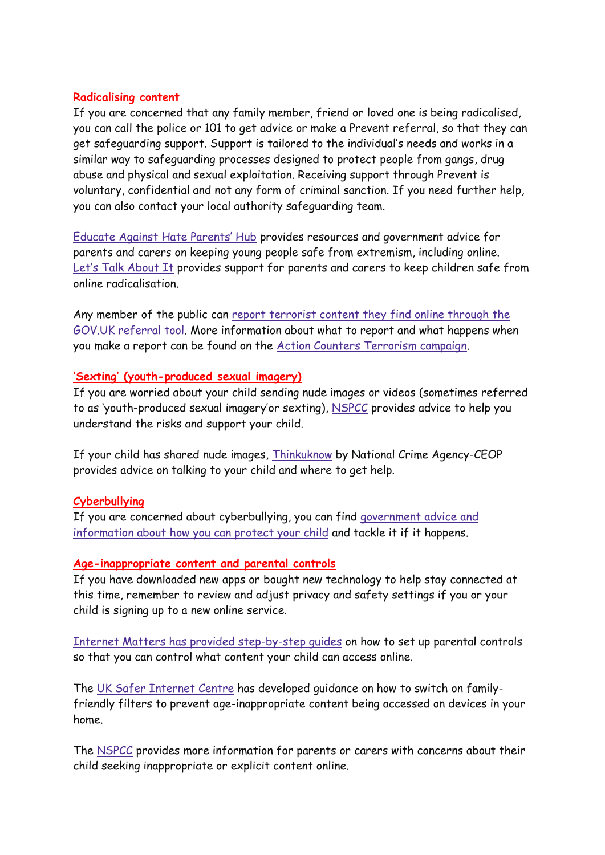## **Radicalising content**

If you are concerned that any family member, friend or loved one is being radicalised, you can call the police or 101 to get advice or make a Prevent referral, so that they can get safeguarding support. Support is tailored to the individual's needs and works in a similar way to safeguarding processes designed to protect people from gangs, drug abuse and physical and sexual exploitation. Receiving support through Prevent is voluntary, confidential and not any form of criminal sanction. If you need further help, you can also contact your local authority safeguarding team.

[Educate](https://educateagainsthate.com/parents/) Against Hate Parents' Hub provides resources and government advice for parents and carers on keeping young people safe from extremism, including online. Let's Talk [About](https://www.ltai.info/staying-safe-online/) It provides support for parents and carers to keep children safe from online radicalisation.

Any member of the public can report [terrorist](https://www.gov.uk/report-terrorism) content they find online through the GOV.UK [referral](https://www.gov.uk/report-terrorism) tool. More information about what to report and what happens when you make a report can be found on the Action Counters [Terrorism](https://act.campaign.gov.uk/) campaign.

## **'Sexting' (youth-produced sexual imagery)**

If you are worried about your child sending nude images or videos (sometimes referred to as 'youth-produced sexual imagery'or sexting), [NSPCC](https://www.nspcc.org.uk/keeping-children-safe/online-safety/sexting-sending-nudes/) provides advice to help you understand the risks and support your child.

If your child has shared nude images, [Thinkuknow](https://www.thinkuknow.co.uk/) by National Crime Agency-CEOP provides advice on talking to your child and where to get help.

## **Cyberbullying**

If you are concerned about cyberbullying, you can find [government](https://www.gov.uk/government/publications/preventing-and-tackling-bullying) advice and [information](https://www.gov.uk/government/publications/preventing-and-tackling-bullying) about how you can protect your child and tackle it if it happens.

#### **Age-inappropriate content and parental controls**

If you have downloaded new apps or bought new technology to help stay connected at this time, remember to review and adjust privacy and safety settings if you or your child is signing up to a new online service.

Internet Matters has provided [step-by-step](https://www.internetmatters.org/parental-controls/) guides on how to set up parental controls so that you can control what content your child can access online.

The UK Safer [Internet](https://www.saferinternet.org.uk/advice-centre/parents-and-carers/parental-controls-offered-your-home-internet-provider) Centre has developed guidance on how to switch on familyfriendly filters to prevent age-inappropriate content being accessed on devices in your home.

The [NSPCC](https://www.nspcc.org.uk/keeping-children-safe/online-safety/inappropriate-explicit-content/) provides more information for parents or carers with concerns about their child seeking inappropriate or explicit content online.